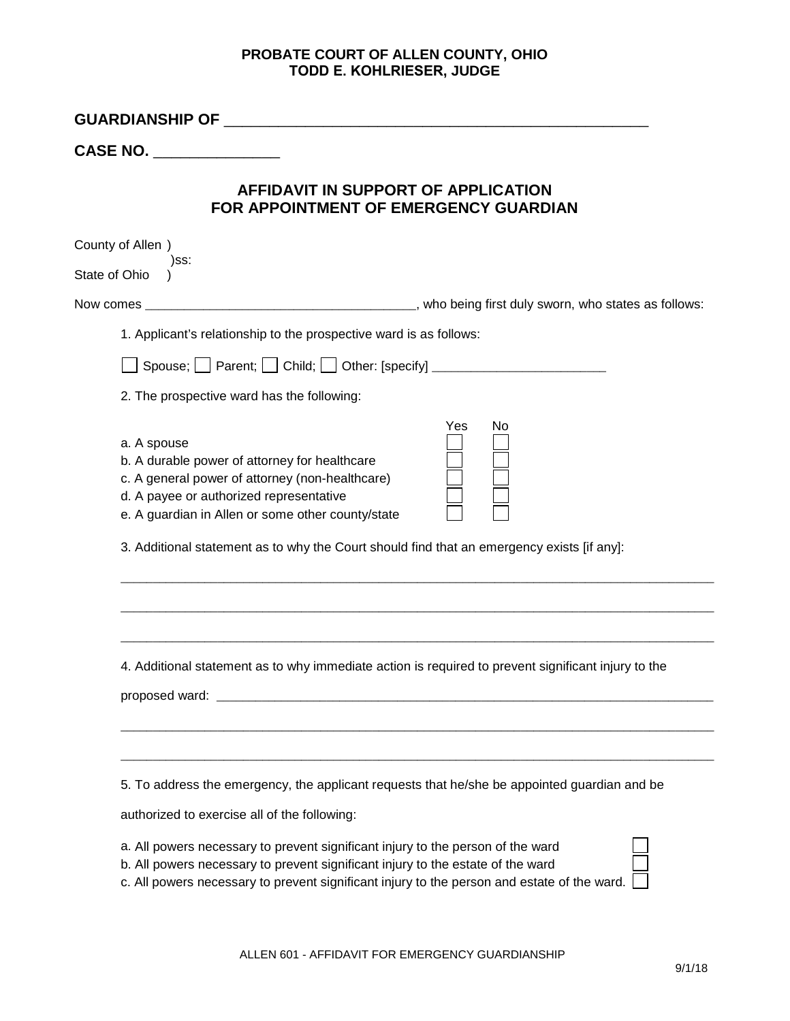## **PROBATE COURT OF ALLEN COUNTY, OHIO TODD E. KOHLRIESER, JUDGE**

| <b>CASE NO.</b>                                                                                                                                                                                                                                                                                               |           |
|---------------------------------------------------------------------------------------------------------------------------------------------------------------------------------------------------------------------------------------------------------------------------------------------------------------|-----------|
|                                                                                                                                                                                                                                                                                                               |           |
| AFFIDAVIT IN SUPPORT OF APPLICATION<br>FOR APPOINTMENT OF EMERGENCY GUARDIAN                                                                                                                                                                                                                                  |           |
| County of Allen)<br>)SS:<br>State of Ohio                                                                                                                                                                                                                                                                     |           |
| Now comes _                                                                                                                                                                                                                                                                                                   |           |
| 1. Applicant's relationship to the prospective ward is as follows:                                                                                                                                                                                                                                            |           |
| Spouse; $\Box$ Parent; $\Box$ Child; $\Box$ Other: [specify] __________________________                                                                                                                                                                                                                       |           |
| 2. The prospective ward has the following:                                                                                                                                                                                                                                                                    |           |
| a. A spouse<br>b. A durable power of attorney for healthcare<br>c. A general power of attorney (non-healthcare)<br>d. A payee or authorized representative<br>e. A guardian in Allen or some other county/state<br>3. Additional statement as to why the Court should find that an emergency exists [if any]: | Yes<br>No |
| 4. Additional statement as to why immediate action is required to prevent significant injury to the                                                                                                                                                                                                           |           |
| 5. To address the emergency, the applicant requests that he/she be appointed guardian and be<br>authorized to exercise all of the following:                                                                                                                                                                  |           |
| a. All powers necessary to prevent significant injury to the person of the ward<br>b. All powers necessary to prevent significant injury to the estate of the ward<br>c. All powers necessary to prevent significant injury to the person and estate of the ward.                                             |           |